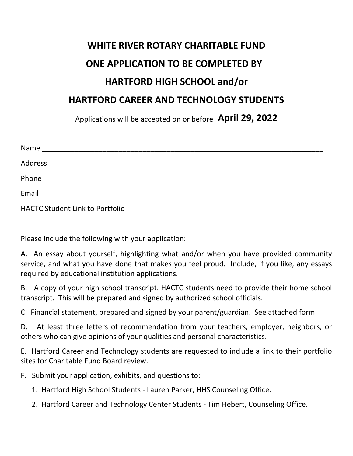## **WHITE RIVER ROTARY CHARITABLE FUND ONE APPLICATION TO BE COMPLETED BY HARTFORD HIGH SCHOOL and/or HARTFORD CAREER AND TECHNOLOGY STUDENTS**

Applications will be accepted on or before **April 29, 2022**

| Name                                                                   |  |
|------------------------------------------------------------------------|--|
| Address<br><u> 1989 - Johann Stoff, amerikansk politiker (d. 1989)</u> |  |
| Phone                                                                  |  |
| Email                                                                  |  |
| <b>HACTC Student Link to Portfolio</b>                                 |  |

Please include the following with your application:

A. An essay about yourself, highlighting what and/or when you have provided community service, and what you have done that makes you feel proud. Include, if you like, any essays required by educational institution applications.

B. A copy of your high school transcript. HACTC students need to provide their home school transcript. This will be prepared and signed by authorized school officials.

C. Financial statement, prepared and signed by your parent/guardian. See attached form.

D. At least three letters of recommendation from your teachers, employer, neighbors, or others who can give opinions of your qualities and personal characteristics.

E. Hartford Career and Technology students are requested to include a link to their portfolio sites for Charitable Fund Board review.

F. Submit your application, exhibits, and questions to:

1. Hartford High School Students - Lauren Parker, HHS Counseling Office.

2. Hartford Career and Technology Center Students - Tim Hebert, Counseling Office.